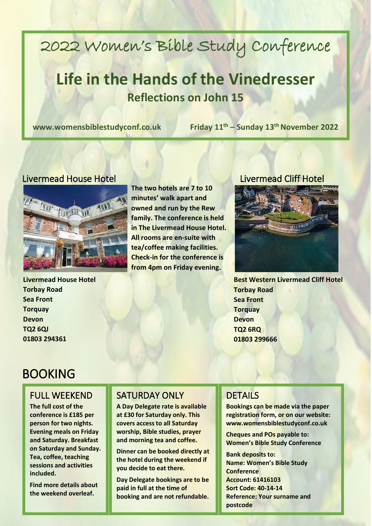# 2022 Women's Bible Study Conference

## **Life in the Hands of the Vinedresser Reflections on John 15**

**www.womensbiblestudyconf.co.uk Friday 11**

**th – Sunday 13th November 2022**

#### Livermead House Hotel Livermead Cliff Hotel



**Livermead House Hotel Torbay Road Sea Front Torquay Devon TQ2 6QJ 01803 294361**

**The two hotels are 7 to 10 minutes' walk apart and owned and run by the Rew family. The conference is held in The Livermead House Hotel. All rooms are en-suite with tea/coffee making facilities. Check-in for the conference is from 4pm on Friday evening.** 



**Best Western Livermead Cliff Hotel Torbay Road Sea Front Torquay Devon TQ2 6RQ 01803 299666**

### BOOKING

#### FULL WEEKEND

**The full cost of the conference is £185 per person for two nights. Evening meals on Friday and Saturday. Breakfast on Saturday and Sunday. Tea, coffee, teaching sessions and activities included.**

**Find more details about the weekend overleaf.**

#### SATURDAY ONLY

**A Day Delegate rate is available at £30 for Saturday only. This covers access to all Saturday worship, Bible studies, prayer and morning tea and coffee.**

**Dinner can be booked directly at the hotel during the weekend if you decide to eat there.** 

**Day Delegate bookings are to be paid in full at the time of booking and are not refundable.**

### DETAILS

**Bookings can be made via the paper registration form, or on our website: www.womensbiblestudyconf.co.uk**

**Cheques and POs payable to: Women's Bible Study Conference**

**Bank deposits to: Name: Women's Bible Study Conference Account: 61416103 Sort Code: 40-14-14 Reference: Your surname and postcode**